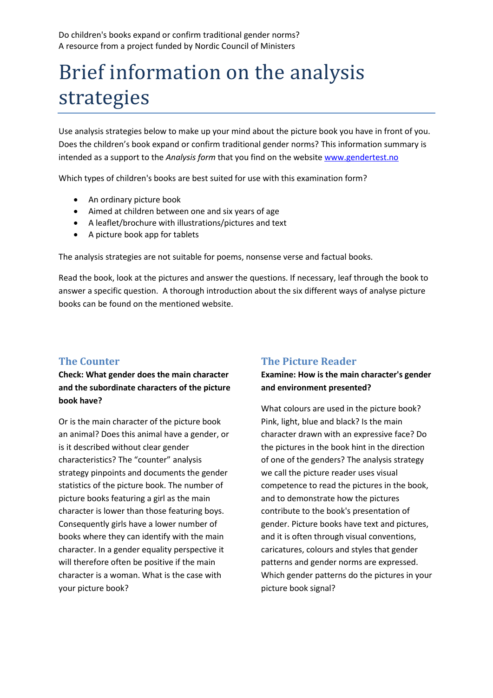Do children's books expand or confirm traditional gender norms? A resource from a project funded by Nordic Council of Ministers

# Brief information on the analysis strategies

Use analysis strategies below to make up your mind about the picture book you have in front of you. Does the children's book expand or confirm traditional gender norms? This information summary is intended as a support to the *Analysis form* that you find on the website [www.gendertest.no](http://www.gendertest.no/)

Which types of children's books are best suited for use with this examination form?

- An ordinary picture book
- Aimed at children between one and six years of age
- A leaflet/brochure with illustrations/pictures and text
- A picture book app for tablets

The analysis strategies are not suitable for poems, nonsense verse and factual books.

Read the book, look at the pictures and answer the questions. If necessary, leaf through the book to answer a specific question. A thorough introduction about the six different ways of analyse picture books can be found on the mentioned website.

## **The Counter**

**Check: What gender does the main character and the subordinate characters of the picture book have?**

Or is the main character of the picture book an animal? Does this animal have a gender, or is it described without clear gender characteristics? The "counter" analysis strategy pinpoints and documents the gender statistics of the picture book. The number of picture books featuring a girl as the main character is lower than those featuring boys. Consequently girls have a lower number of books where they can identify with the main character. In a gender equality perspective it will therefore often be positive if the main character is a woman. What is the case with your picture book?

### **The Picture Reader**

**Examine: How is the main character's gender and environment presented?** 

What colours are used in the picture book? Pink, light, blue and black? Is the main character drawn with an expressive face? Do the pictures in the book hint in the direction of one of the genders? The analysis strategy we call the picture reader uses visual competence to read the pictures in the book, and to demonstrate how the pictures contribute to the book's presentation of gender. Picture books have text and pictures, and it is often through visual conventions, caricatures, colours and styles that gender patterns and gender norms are expressed. Which gender patterns do the pictures in your picture book signal?